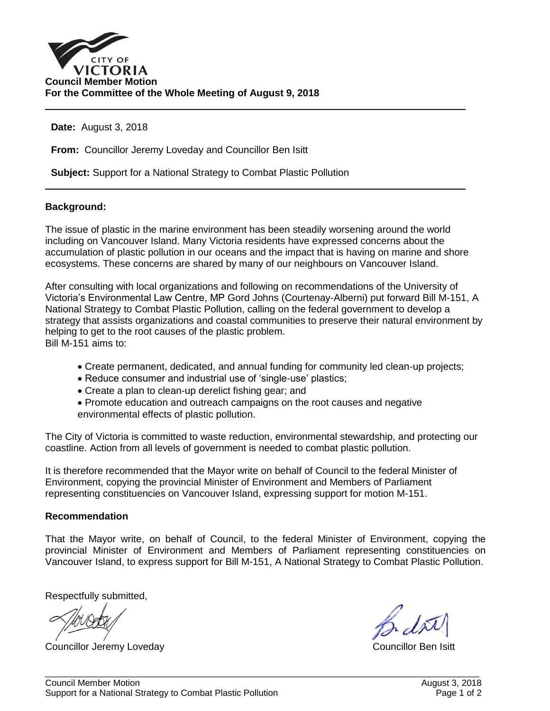

**Date:** August 3, 2018

**From:** Councillor Jeremy Loveday and Councillor Ben Isitt

**Subject:** Support for a National Strategy to Combat Plastic Pollution

#### **Background:**

The issue of plastic in the marine environment has been steadily worsening around the world including on Vancouver Island. Many Victoria residents have expressed concerns about the accumulation of plastic pollution in our oceans and the impact that is having on marine and shore ecosystems. These concerns are shared by many of our neighbours on Vancouver Island.

After consulting with local organizations and following on recommendations of the University of Victoria's Environmental Law Centre, MP Gord Johns (Courtenay-Alberni) put forward Bill M-151, A National Strategy to Combat Plastic Pollution, calling on the federal government to develop a strategy that assists organizations and coastal communities to preserve their natural environment by helping to get to the root causes of the plastic problem. Bill M-151 aims to:

- Create permanent, dedicated, and annual funding for community led clean-up projects;
- Reduce consumer and industrial use of 'single-use' plastics;
- Create a plan to clean-up derelict fishing gear; and
- Promote education and outreach campaigns on the root causes and negative environmental effects of plastic pollution.

The City of Victoria is committed to waste reduction, environmental stewardship, and protecting our coastline. Action from all levels of government is needed to combat plastic pollution.

It is therefore recommended that the Mayor write on behalf of Council to the federal Minister of Environment, copying the provincial Minister of Environment and Members of Parliament representing constituencies on Vancouver Island, expressing support for motion M-151.

#### **Recommendation**

That the Mayor write, on behalf of Council, to the federal Minister of Environment, copying the provincial Minister of Environment and Members of Parliament representing constituencies on Vancouver Island, to express support for Bill M-151, A National Strategy to Combat Plastic Pollution.

\_\_\_\_\_\_\_\_\_\_\_\_\_\_\_\_\_\_\_\_\_\_\_\_\_\_\_\_\_\_\_\_\_\_\_\_\_\_\_\_\_\_\_\_\_\_\_\_\_\_\_\_\_\_\_\_\_\_\_\_\_\_\_\_\_\_\_\_\_\_\_\_\_\_\_\_\_\_\_\_\_\_\_\_\_\_\_

Respectfully submitted,

Councillor Jeremy Loveday Councillor Ben Isitt